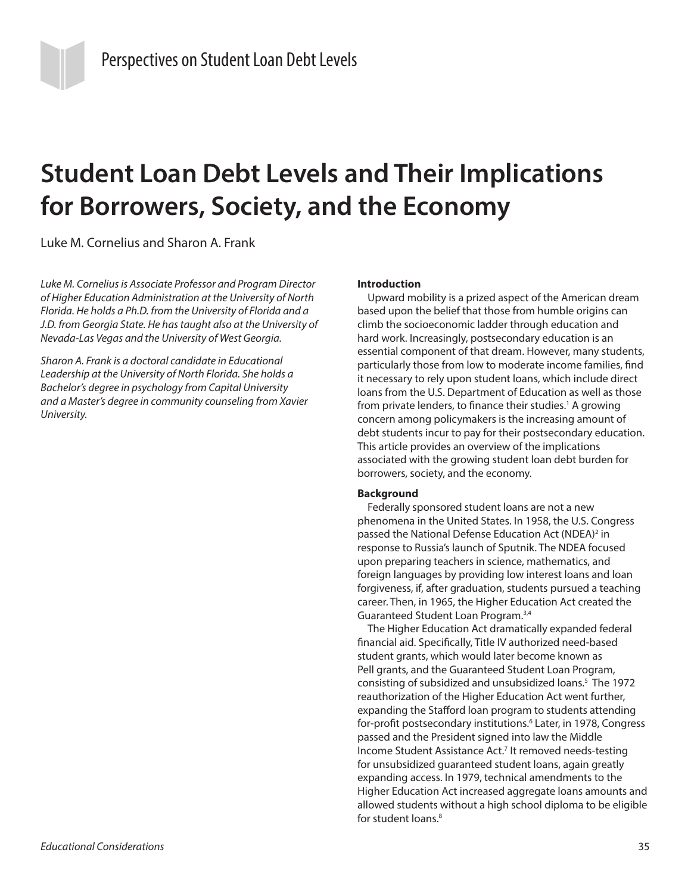# **Student Loan Debt Levels and Their Implications for Borrowers, Society, and the Economy**

Luke M. Cornelius and Sharon A. Frank

*Luke M. Cornelius is Associate Professor and Program Director of Higher Education Administration at the University of North Florida. He holds a Ph.D. from the University of Florida and a J.D. from Georgia State. He has taught also at the University of Nevada-Las Vegas and the University of West Georgia.*

*Sharon A. Frank is a doctoral candidate in Educational Leadership at the University of North Florida. She holds a Bachelor's degree in psychology from Capital University and a Master's degree in community counseling from Xavier University.*

## **Introduction**

Upward mobility is a prized aspect of the American dream based upon the belief that those from humble origins can climb the socioeconomic ladder through education and hard work. Increasingly, postsecondary education is an essential component of that dream. However, many students, particularly those from low to moderate income families, find it necessary to rely upon student loans, which include direct loans from the U.S. Department of Education as well as those from private lenders, to finance their studies.<sup>1</sup> A growing concern among policymakers is the increasing amount of debt students incur to pay for their postsecondary education. This article provides an overview of the implications associated with the growing student loan debt burden for borrowers, society, and the economy.

## **Background**

Federally sponsored student loans are not a new phenomena in the United States. In 1958, the U.S. Congress passed the National Defense Education Act (NDEA)<sup>2</sup> in response to Russia's launch of Sputnik. The NDEA focused upon preparing teachers in science, mathematics, and foreign languages by providing low interest loans and loan forgiveness, if, after graduation, students pursued a teaching career. Then, in 1965, the Higher Education Act created the Guaranteed Student Loan Program.3,4

The Higher Education Act dramatically expanded federal financial aid. Specifically, Title IV authorized need-based student grants, which would later become known as Pell grants, and the Guaranteed Student Loan Program, consisting of subsidized and unsubsidized loans.5 The 1972 reauthorization of the Higher Education Act went further, expanding the Stafford loan program to students attending for-profit postsecondary institutions.6 Later, in 1978, Congress passed and the President signed into law the Middle Income Student Assistance Act.<sup>7</sup> It removed needs-testing for unsubsidized guaranteed student loans, again greatly expanding access. In 1979, technical amendments to the Higher Education Act increased aggregate loans amounts and allowed students without a high school diploma to be eligible for student loans.<sup>8</sup>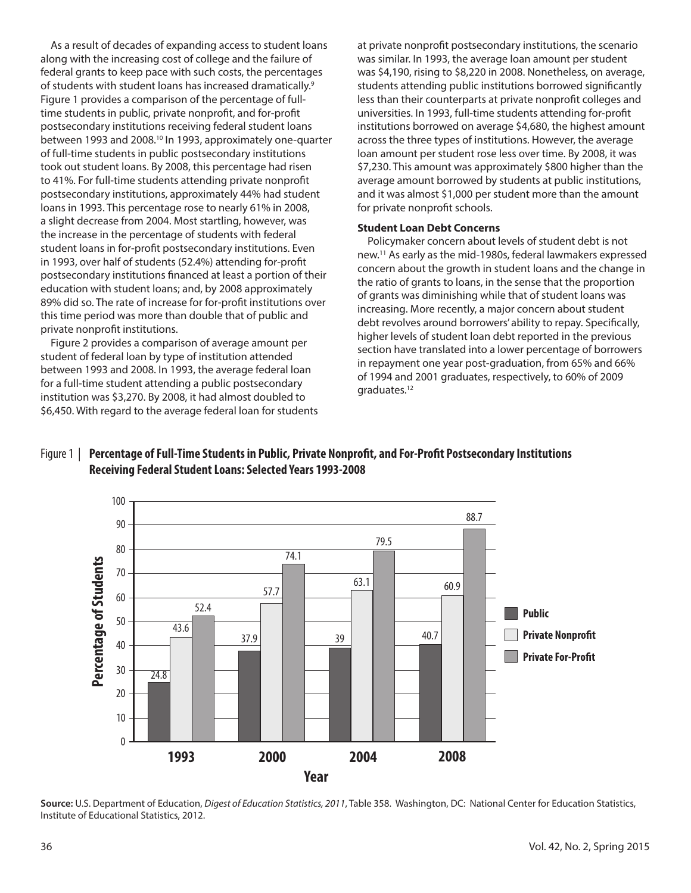As a result of decades of expanding access to student loans along with the increasing cost of college and the failure of federal grants to keep pace with such costs, the percentages of students with student loans has increased dramatically.<sup>9</sup> Figure 1 provides a comparison of the percentage of fulltime students in public, private nonprofit, and for-profit postsecondary institutions receiving federal student loans between 1993 and 2008.10 In 1993, approximately one-quarter of full-time students in public postsecondary institutions took out student loans. By 2008, this percentage had risen to 41%. For full-time students attending private nonprofit postsecondary institutions, approximately 44% had student loans in 1993. This percentage rose to nearly 61% in 2008, a slight decrease from 2004. Most startling, however, was the increase in the percentage of students with federal student loans in for-profit postsecondary institutions. Even in 1993, over half of students (52.4%) attending for-profit postsecondary institutions financed at least a portion of their education with student loans; and, by 2008 approximately 89% did so. The rate of increase for for-profit institutions over this time period was more than double that of public and private nonprofit institutions.

Figure 2 provides a comparison of average amount per student of federal loan by type of institution attended between 1993 and 2008. In 1993, the average federal loan for a full-time student attending a public postsecondary institution was \$3,270. By 2008, it had almost doubled to \$6,450. With regard to the average federal loan for students at private nonprofit postsecondary institutions, the scenario was similar. In 1993, the average loan amount per student was \$4,190, rising to \$8,220 in 2008. Nonetheless, on average, students attending public institutions borrowed significantly less than their counterparts at private nonprofit colleges and universities. In 1993, full-time students attending for-profit institutions borrowed on average \$4,680, the highest amount across the three types of institutions. However, the average loan amount per student rose less over time. By 2008, it was \$7,230. This amount was approximately \$800 higher than the average amount borrowed by students at public institutions, and it was almost \$1,000 per student more than the amount for private nonprofit schools.

## **Student Loan Debt Concerns**

Policymaker concern about levels of student debt is not new.11 As early as the mid-1980s, federal lawmakers expressed concern about the growth in student loans and the change in the ratio of grants to loans, in the sense that the proportion of grants was diminishing while that of student loans was increasing. More recently, a major concern about student debt revolves around borrowers' ability to repay. Specifically, higher levels of student loan debt reported in the previous section have translated into a lower percentage of borrowers in repayment one year post-graduation, from 65% and 66% of 1994 and 2001 graduates, respectively, to 60% of 2009 graduates.12





**Source:** U.S. Department of Education, *Digest of Education Statistics, 2011*, Table 358. Washington, DC: National Center for Education Statistics, Institute of Educational Statistics, 2012.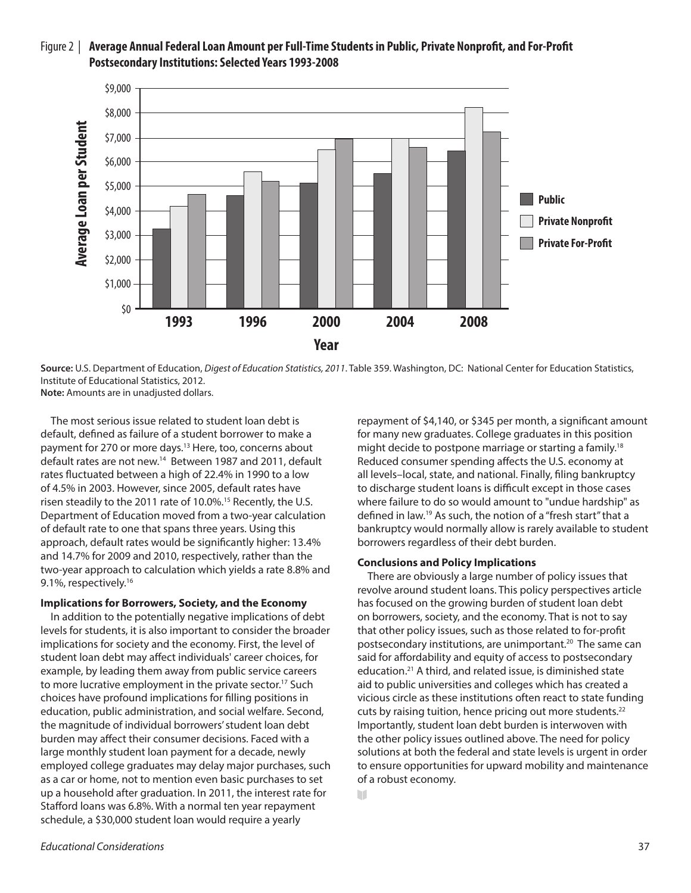# Figure 2 | **Average Annual Federal Loan Amount per Full-Time Students in Public, Private Nonprofit, and For-Profit Postsecondary Institutions: Selected Years 1993-2008**



**Source:** U.S. Department of Education, *Digest of Education Statistics, 2011*. Table 359. Washington, DC: National Center for Education Statistics, Institute of Educational Statistics, 2012. **Note:** Amounts are in unadjusted dollars.

m

The most serious issue related to student loan debt is default, defined as failure of a student borrower to make a payment for 270 or more days.<sup>13</sup> Here, too, concerns about default rates are not new.14 Between 1987 and 2011, default rates fluctuated between a high of 22.4% in 1990 to a low of 4.5% in 2003. However, since 2005, default rates have risen steadily to the 2011 rate of 10.0%.<sup>15</sup> Recently, the U.S. Department of Education moved from a two-year calculation of default rate to one that spans three years. Using this approach, default rates would be significantly higher: 13.4% and 14.7% for 2009 and 2010, respectively, rather than the two-year approach to calculation which yields a rate 8.8% and 9.1%, respectively.<sup>16</sup>

## **Implications for Borrowers, Society, and the Economy**

In addition to the potentially negative implications of debt levels for students, it is also important to consider the broader implications for society and the economy. First, the level of student loan debt may affect individuals' career choices, for example, by leading them away from public service careers to more lucrative employment in the private sector.<sup>17</sup> Such choices have profound implications for filling positions in education, public administration, and social welfare. Second, the magnitude of individual borrowers' student loan debt burden may affect their consumer decisions. Faced with a large monthly student loan payment for a decade, newly employed college graduates may delay major purchases, such as a car or home, not to mention even basic purchases to set up a household after graduation. In 2011, the interest rate for Stafford loans was 6.8%. With a normal ten year repayment schedule, a \$30,000 student loan would require a yearly

repayment of \$4,140, or \$345 per month, a significant amount for many new graduates. College graduates in this position might decide to postpone marriage or starting a family.<sup>18</sup> Reduced consumer spending affects the U.S. economy at all levels–local, state, and national. Finally, filing bankruptcy to discharge student loans is difficult except in those cases where failure to do so would amount to "undue hardship" as defined in law.19 As such, the notion of a "fresh start" that a bankruptcy would normally allow is rarely available to student borrowers regardless of their debt burden.

## **Conclusions and Policy Implications**

There are obviously a large number of policy issues that revolve around student loans. This policy perspectives article has focused on the growing burden of student loan debt on borrowers, society, and the economy. That is not to say that other policy issues, such as those related to for-profit postsecondary institutions, are unimportant.<sup>20</sup> The same can said for affordability and equity of access to postsecondary education.21 A third, and related issue, is diminished state aid to public universities and colleges which has created a vicious circle as these institutions often react to state funding cuts by raising tuition, hence pricing out more students.<sup>22</sup> Importantly, student loan debt burden is interwoven with the other policy issues outlined above. The need for policy solutions at both the federal and state levels is urgent in order to ensure opportunities for upward mobility and maintenance of a robust economy.